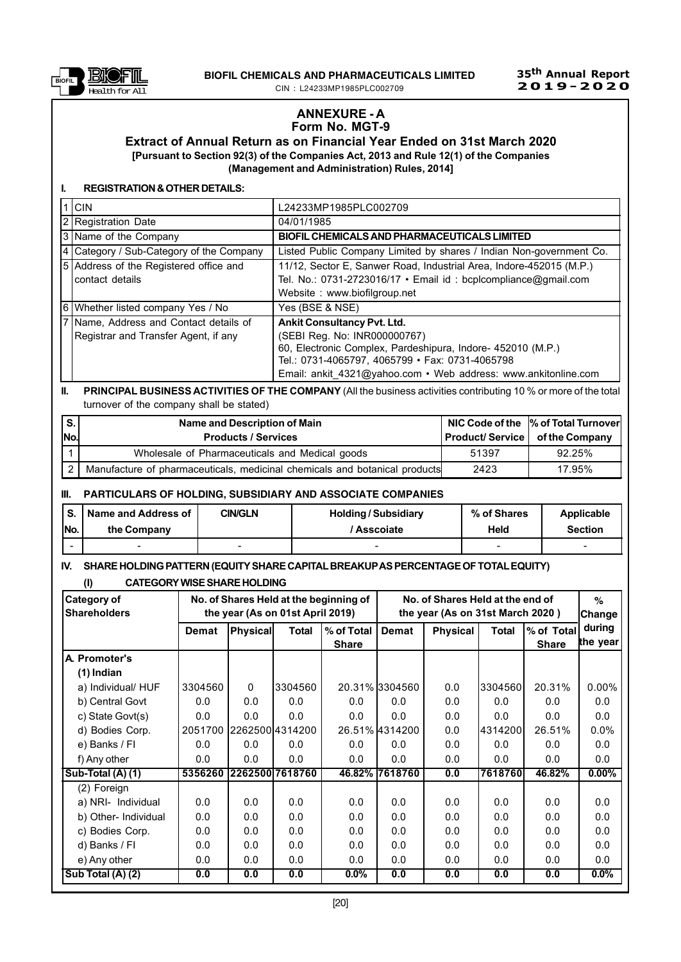

### ANNEXURE - A Form No. MGT-9

Extract of Annual Return as on Financial Year Ended on 31st March 2020 [Pursuant to Section 92(3) of the Companies Act, 2013 and Rule 12(1) of the Companies (Management and Administration) Rules, 2014]

#### I. REGISTRATION & OTHER DETAILS:

| $1$ CIN                                  | L24233MP1985PLC002709                                               |
|------------------------------------------|---------------------------------------------------------------------|
| 2 Registration Date                      | 04/01/1985                                                          |
| 3 Name of the Company                    | BIOFIL CHEMICALS AND PHARMACEUTICALS LIMITED                        |
| 4 Category / Sub-Category of the Company | Listed Public Company Limited by shares / Indian Non-government Co. |
| 5 Address of the Registered office and   | 11/12, Sector E, Sanwer Road, Industrial Area, Indore-452015 (M.P.) |
| contact details                          | Tel. No.: 0731-2723016/17 · Email id: bcplcompliance@gmail.com      |
|                                          | Website: www.biofilgroup.net                                        |
| 6 Whether listed company Yes / No        | Yes (BSE & NSE)                                                     |
| 7 Name, Address and Contact details of   | <b>Ankit Consultancy Pvt. Ltd.</b>                                  |
| Registrar and Transfer Agent, if any     | (SEBI Reg. No: INR000000767)                                        |
|                                          | 60, Electronic Complex, Pardeshipura, Indore- 452010 (M.P.)         |
|                                          | Tel.: 0731-4065797, 4065799 · Fax: 0731-4065798                     |
|                                          | Email: ankit 4321@yahoo.com • Web address: www.ankitonline.com      |

### II. PRINCIPAL BUSINESS ACTIVITIES OF THE COMPANY (All the business activities contributing 10 % or more of the total turnover of the company shall be stated)

| l s. |     | Name and Description of Main                                               |       | NIC Code of the  % of Total Turnover    |
|------|-----|----------------------------------------------------------------------------|-------|-----------------------------------------|
|      | No. | <b>Products / Services</b>                                                 |       | <b>Product/Service   of the Company</b> |
|      |     | Wholesale of Pharmaceuticals and Medical goods                             | 51397 | 92.25%                                  |
|      |     | Manufacture of pharmaceuticals, medicinal chemicals and botanical products | 2423  | 17.95%                                  |

#### III. PARTICULARS OF HOLDING, SUBSIDIARY AND ASSOCIATE COMPANIES

| S.   | Name and Address of | <b>CIN/GLN</b> | <b>Holding/Subsidiary</b> | % of Shares | Applicable     |
|------|---------------------|----------------|---------------------------|-------------|----------------|
| INo. | the Company         |                | ' Asscoiate               | Held        | <b>Section</b> |
| -    | -                   |                |                           | -           |                |

# IV. SHARE HOLDING PATTERN (EQUITYSHARE CAPITALBREAKUPAS PERCENTAGE OF TOTALEQUITY)

## (I) CATEGORYWISESHARE HOLDING

| Category of<br><b>Shareholders</b>    | No. of Shares Held at the beginning of<br>the year (As on 01st April 2019) |                 |                 |              | No. of Shares Held at the end of<br>the year (As on 31st March 2020) |                 |           |              | $\%$<br> Change |
|---------------------------------------|----------------------------------------------------------------------------|-----------------|-----------------|--------------|----------------------------------------------------------------------|-----------------|-----------|--------------|-----------------|
|                                       | Demat                                                                      | <b>Physical</b> | Total           | % of Total   | <b>Demat</b>                                                         | <b>Physical</b> | Total     | % of Total   | during          |
|                                       |                                                                            |                 |                 | <b>Share</b> |                                                                      |                 |           | <b>Share</b> | the year        |
| A. Promoter's                         |                                                                            |                 |                 |              |                                                                      |                 |           |              |                 |
| $(1)$ Indian                          |                                                                            |                 |                 |              |                                                                      |                 |           |              |                 |
| a) Individual/ HUF                    | 3304560                                                                    | $\mathbf{0}$    | 3304560         |              | 20.31% 3304560                                                       | 0.0             | 3304560   | 20.31%       | $0.00\%$        |
| b) Central Govt                       | 0.0                                                                        | 0.0             | 0.0             | 0.0          | 0.0                                                                  | 0.0             | 0.0       | 0.0          | 0.0             |
| c) State Govt(s)                      | 0.0                                                                        | 0.0             | 0.0             | 0.0          | 0.0                                                                  | 0.0             | 0.0       | 0.0          | 0.0             |
| d) Bodies Corp.                       | 2051700                                                                    |                 | 2262500 4314200 |              | 26.51% 4314200                                                       | 0.0             | l4314200l | 26.51%       | 0.0%            |
| e) Banks / FI                         | 0.0                                                                        | 0.0             | 0.0             | 0.0          | 0.0                                                                  | 0.0             | 0.0       | 0.0          | 0.0             |
| f) Any other                          | 0.0                                                                        | 0.0             | 0.0             | 0.0          | 0.0                                                                  | 0.0             | 0.0       | 0.0          | 0.0             |
| $\overline{\text{Sub-Total (A) (1)}}$ | 5356260                                                                    |                 | 2262500 7618760 |              | 46.82% 7618760                                                       | 0.0             | 7618760   | 46.82%       | $0.00\%$        |
| (2) Foreign                           |                                                                            |                 |                 |              |                                                                      |                 |           |              |                 |
| a) NRI- Individual                    | 0.0                                                                        | 0.0             | 0.0             | 0.0          | 0.0                                                                  | 0.0             | 0.0       | 0.0          | 0.0             |
| b) Other- Individual                  | 0.0                                                                        | 0.0             | 0.0             | 0.0          | 0.0                                                                  | 0.0             | 0.0       | 0.0          | 0.0             |
| c) Bodies Corp.                       | 0.0                                                                        | 0.0             | 0.0             | 0.0          | 0.0                                                                  | 0.0             | 0.0       | 0.0          | 0.0             |
| d) Banks / FI                         | 0.0                                                                        | 0.0             | 0.0             | 0.0          | 0.0                                                                  | 0.0             | 0.0       | 0.0          | 0.0             |
| e) Any other                          | 0.0                                                                        | 0.0             | 0.0             | 0.0          | 0.0                                                                  | 0.0             | 0.0       | 0.0          | 0.0             |
| Sub Total (A) (2)                     | 0.0                                                                        | 0.0             | 0.0             | $0.0\%$      | 0.0                                                                  | 0.0             | 0.0       | 0.0          | $0.0\%$         |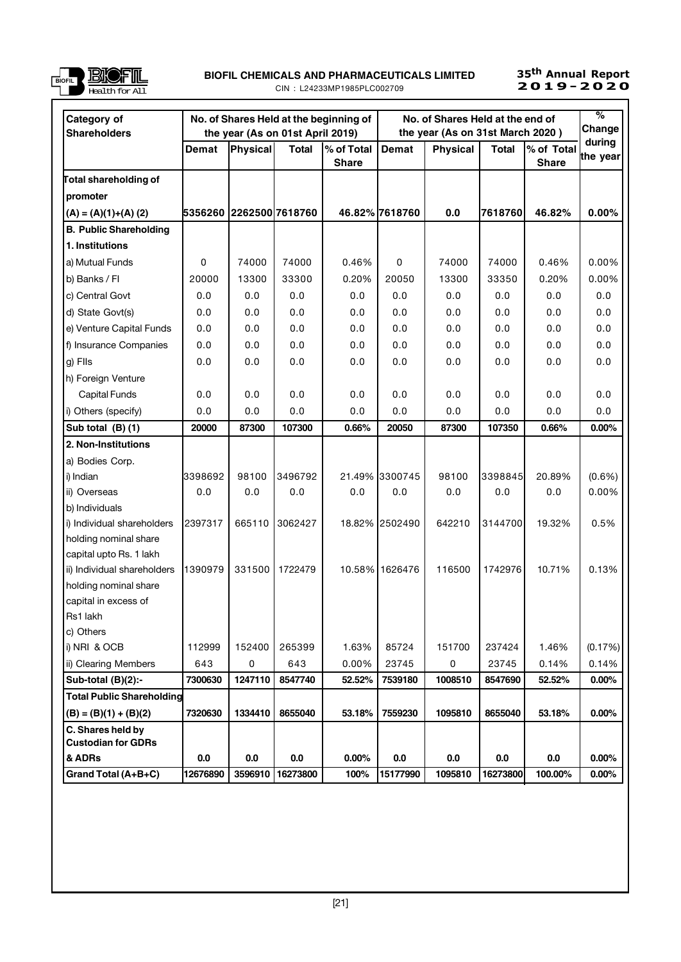

### UNICO PILO EN ENGLIS AND PHARMACEUTICALS LIMITED 25<sup>th</sup> Annual Report<br>DIELE CIN∶I 24233MP1985PLC002709 2**019-2020** CIN : L24233MP1985PLC002709

# 35<sup>th</sup> Annual Report<br>**2019-2020**

| Category of<br><b>Shareholders</b>             |                         |             | the year (As on 01st April 2019) | No. of Shares Held at the beginning of | No. of Shares Held at the end of<br>the year (As on 31st March 2020) |                 |              |                            | $\%$<br>Change     |
|------------------------------------------------|-------------------------|-------------|----------------------------------|----------------------------------------|----------------------------------------------------------------------|-----------------|--------------|----------------------------|--------------------|
|                                                | Demat                   | Physical    | <b>Total</b>                     | % of Total<br><b>Share</b>             | Demat                                                                | <b>Physical</b> | <b>Total</b> | % of Total<br><b>Share</b> | during<br>the year |
| Total shareholding of                          |                         |             |                                  |                                        |                                                                      |                 |              |                            |                    |
| promoter                                       |                         |             |                                  |                                        |                                                                      |                 |              |                            |                    |
| $(A) = (A)(1)+(A)(2)$                          | 5356260 2262500 7618760 |             |                                  |                                        | 46.82% 7618760                                                       | 0.0             | 7618760      | 46.82%                     | 0.00%              |
| <b>B. Public Shareholding</b>                  |                         |             |                                  |                                        |                                                                      |                 |              |                            |                    |
| 1. Institutions                                |                         |             |                                  |                                        |                                                                      |                 |              |                            |                    |
| a) Mutual Funds                                | 0                       | 74000       | 74000                            | 0.46%                                  | 0                                                                    | 74000           | 74000        | 0.46%                      | 0.00%              |
| b) Banks / Fl                                  | 20000                   | 13300       | 33300                            | 0.20%                                  | 20050                                                                | 13300           | 33350        | 0.20%                      | 0.00%              |
| c) Central Govt                                | 0.0                     | 0.0         | 0.0                              | 0.0                                    | 0.0                                                                  | 0.0             | 0.0          | $0.0\,$                    | 0.0                |
| d) State Govt(s)                               | 0.0                     | 0.0         | 0.0                              | 0.0                                    | 0.0                                                                  | 0.0             | 0.0          | 0.0                        | 0.0                |
| e) Venture Capital Funds                       | 0.0                     | 0.0         | 0.0                              | 0.0                                    | 0.0                                                                  | 0.0             | 0.0          | 0.0                        | 0.0                |
| f) Insurance Companies                         | 0.0                     | 0.0         | 0.0                              | 0.0                                    | 0.0                                                                  | 0.0             | 0.0          | 0.0                        | 0.0                |
| g) Flls                                        | 0.0                     | 0.0         | 0.0                              | 0.0                                    | 0.0                                                                  | 0.0             | 0.0          | 0.0                        | 0.0                |
| h) Foreign Venture                             |                         |             |                                  |                                        |                                                                      |                 |              |                            |                    |
| Capital Funds                                  | 0.0                     | 0.0         | 0.0                              | 0.0                                    | 0.0                                                                  | 0.0             | 0.0          | 0.0                        | 0.0                |
| i) Others (specify)                            | 0.0                     | 0.0         | 0.0                              | 0.0                                    | 0.0                                                                  | 0.0             | 0.0          | 0.0                        | 0.0                |
| Sub total $(B)$ (1)                            | 20000                   | 87300       | 107300                           | 0.66%                                  | 20050                                                                | 87300           | 107350       | 0.66%                      | $0.00\%$           |
| 2. Non-Institutions                            |                         |             |                                  |                                        |                                                                      |                 |              |                            |                    |
| a) Bodies Corp.                                |                         |             |                                  |                                        |                                                                      |                 |              |                            |                    |
| i) Indian                                      | 3398692                 | 98100       | 3496792                          |                                        | 21.49% 3300745                                                       | 98100           | 3398845      | 20.89%                     | $(0.6\%)$          |
| ii) Overseas                                   | 0.0                     | 0.0         | 0.0                              | 0.0                                    | 0.0                                                                  | 0.0             | 0.0          | 0.0                        | 0.00%              |
| b) Individuals                                 |                         |             |                                  |                                        |                                                                      |                 |              |                            |                    |
| i) Individual shareholders                     | 2397317                 | 665110      | 3062427                          |                                        | 18.82% 2502490                                                       | 642210          | 3144700      | 19.32%                     | 0.5%               |
| holding nominal share                          |                         |             |                                  |                                        |                                                                      |                 |              |                            |                    |
| capital upto Rs. 1 lakh                        |                         |             |                                  |                                        |                                                                      |                 |              |                            |                    |
| ii) Individual shareholders                    | 1390979                 | 331500      | 1722479                          |                                        | 10.58% 1626476                                                       | 116500          | 1742976      | 10.71%                     | 0.13%              |
| holding nominal share                          |                         |             |                                  |                                        |                                                                      |                 |              |                            |                    |
| capital in excess of                           |                         |             |                                  |                                        |                                                                      |                 |              |                            |                    |
| Rs1 lakh                                       |                         |             |                                  |                                        |                                                                      |                 |              |                            |                    |
| c) Others                                      |                         |             |                                  |                                        |                                                                      |                 |              |                            |                    |
| i) NRI & OCB                                   | 112999                  | 152400      | 265399                           | 1.63%                                  | 85724                                                                | 151700          | 237424       | 1.46%                      | (0.17%)            |
| ii) Clearing Members                           | 643                     | $\mathsf 0$ | 643                              | 0.00%                                  | 23745                                                                | 0               | 23745        | 0.14%                      | 0.14%              |
| Sub-total $(B)(2)$ :-                          | 7300630                 | 1247110     | 8547740                          | 52.52%                                 | 7539180                                                              | 1008510         | 8547690      | 52.52%                     | $0.00\%$           |
| <b>Total Public Shareholding</b>               |                         |             |                                  |                                        |                                                                      |                 |              |                            |                    |
| $(B) = (B)(1) + (B)(2)$                        | 7320630                 | 1334410     | 8655040                          | 53.18%                                 | 7559230                                                              | 1095810         | 8655040      | 53.18%                     | 0.00%              |
| C. Shares held by<br><b>Custodian for GDRs</b> |                         |             |                                  |                                        |                                                                      |                 |              |                            |                    |
| & ADRs                                         | 0.0                     | 0.0         | 0.0                              | $0.00\%$                               | 0.0                                                                  | 0.0             | 0.0          | 0.0                        | $0.00\%$           |
| Grand Total (A+B+C)                            | 12676890                | 3596910     | 16273800                         | 100%                                   | 15177990                                                             | 1095810         | 16273800     | 100.00%                    | $0.00\%$           |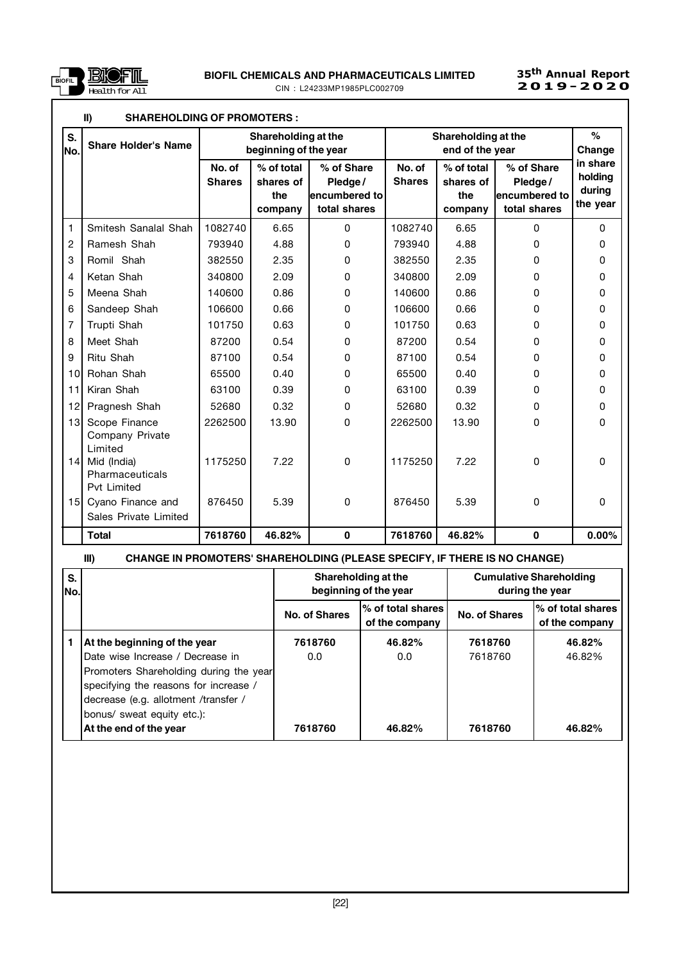

# 35<sup>th</sup> Annual Report<br>**2019-2020**

|                 | $\mathbf{II}$<br><b>SHAREHOLDING OF PROMOTERS :</b> |                                                                                        |                                           |                                                        |                         |                                           |                                                        |                                           |
|-----------------|-----------------------------------------------------|----------------------------------------------------------------------------------------|-------------------------------------------|--------------------------------------------------------|-------------------------|-------------------------------------------|--------------------------------------------------------|-------------------------------------------|
| S.<br>lNo.      | <b>Share Holder's Name</b>                          | Shareholding at the<br>Shareholding at the<br>beginning of the year<br>end of the year |                                           |                                                        | $\%$<br>Change          |                                           |                                                        |                                           |
|                 |                                                     | No. of<br><b>Shares</b>                                                                | % of total<br>shares of<br>the<br>company | % of Share<br>Pledge/<br>encumbered to<br>total shares | No. of<br><b>Shares</b> | % of total<br>shares of<br>the<br>company | % of Share<br>Pledge/<br>encumbered to<br>total shares | in share<br>holding<br>during<br>the year |
| $\mathbf{1}$    | Smitesh Sanalal Shah                                | 1082740                                                                                | 6.65                                      | $\Omega$                                               | 1082740                 | 6.65                                      | 0                                                      | $\Omega$                                  |
| $\overline{2}$  | Ramesh Shah                                         | 793940                                                                                 | 4.88                                      | 0                                                      | 793940                  | 4.88                                      | 0                                                      | 0                                         |
| 3               | Romil Shah                                          | 382550                                                                                 | 2.35                                      | 0                                                      | 382550                  | 2.35                                      | 0                                                      | 0                                         |
| 4               | Ketan Shah                                          | 340800                                                                                 | 2.09                                      | 0                                                      | 340800                  | 2.09                                      | 0                                                      | 0                                         |
| 5               | Meena Shah                                          | 140600                                                                                 | 0.86                                      | 0                                                      | 140600                  | 0.86                                      | 0                                                      | 0                                         |
| 6               | Sandeep Shah                                        | 106600                                                                                 | 0.66                                      | 0                                                      | 106600                  | 0.66                                      | 0                                                      | 0                                         |
| $\overline{7}$  | Trupti Shah                                         | 101750                                                                                 | 0.63                                      | 0                                                      | 101750                  | 0.63                                      | 0                                                      | 0                                         |
| 8               | Meet Shah                                           | 87200                                                                                  | 0.54                                      | 0                                                      | 87200                   | 0.54                                      | 0                                                      | 0                                         |
| 9               | Ritu Shah                                           | 87100                                                                                  | 0.54                                      | 0                                                      | 87100                   | 0.54                                      | 0                                                      | 0                                         |
| 10              | Rohan Shah                                          | 65500                                                                                  | 0.40                                      | 0                                                      | 65500                   | 0.40                                      | 0                                                      | 0                                         |
| 11              | Kiran Shah                                          | 63100                                                                                  | 0.39                                      | 0                                                      | 63100                   | 0.39                                      | 0                                                      | 0                                         |
| 12              | Pragnesh Shah                                       | 52680                                                                                  | 0.32                                      | 0                                                      | 52680                   | 0.32                                      | 0                                                      | 0                                         |
| 13              | Scope Finance<br>Company Private<br>Limited         | 2262500                                                                                | 13.90                                     | 0                                                      | 2262500                 | 13.90                                     | 0                                                      | 0                                         |
| 14              | Mid (India)<br>Pharmaceuticals<br>Pvt Limited       | 1175250                                                                                | 7.22                                      | $\Omega$                                               | 1175250                 | 7.22                                      | $\Omega$                                               | 0                                         |
| 15 <sup>1</sup> | Cyano Finance and<br>Sales Private Limited          | 876450                                                                                 | 5.39                                      | 0                                                      | 876450                  | 5.39                                      | $\Omega$                                               | $\Omega$                                  |
|                 | <b>Total</b>                                        | 7618760                                                                                | 46.82%                                    | $\mathbf 0$                                            | 7618760                 | 46.82%                                    | $\mathbf 0$                                            | 0.00%                                     |

# III) CHANGE IN PROMOTERS' SHAREHOLDING (PLEASE SPECIFY, IF THERE IS NO CHANGE)

| S.<br>No. |                                                                                                                                                                                             |                | Shareholding at the<br>beginning of the year | <b>Cumulative Shareholding</b><br>during the year |                                      |  |
|-----------|---------------------------------------------------------------------------------------------------------------------------------------------------------------------------------------------|----------------|----------------------------------------------|---------------------------------------------------|--------------------------------------|--|
|           |                                                                                                                                                                                             | No. of Shares  | l% of total shares l<br>of the company       | No. of Shares                                     | I% of total shares<br>of the company |  |
|           | At the beginning of the year<br>Date wise Increase / Decrease in<br>Promoters Shareholding during the year<br>specifying the reasons for increase /<br>decrease (e.g. allotment /transfer / | 7618760<br>0.0 | 46.82%<br>0.0                                | 7618760<br>7618760                                | 46.82%<br>46.82%                     |  |
|           | bonus/ sweat equity etc.):<br>At the end of the year                                                                                                                                        | 7618760        | 46.82%                                       | 7618760                                           | 46.82%                               |  |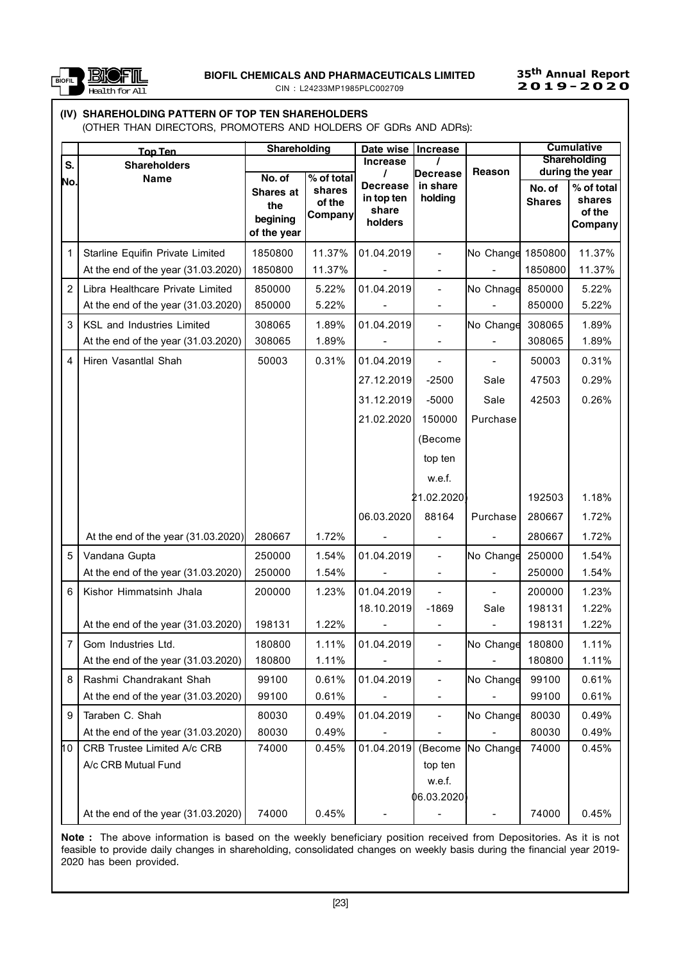

# 35<sup>th</sup> Annual Report

# (IV) SHAREHOLDING PATTERN OF TOP TEN SHAREHOLDERS

(OTHER THAN DIRECTORS, PROMOTERS AND HOLDERS OF GDRs AND ADRs):

|                | <u>Top Ten</u>                      | Shareholding |                          | Date wise   Increase          |                              |           |               | <b>Cumulative</b>    |
|----------------|-------------------------------------|--------------|--------------------------|-------------------------------|------------------------------|-----------|---------------|----------------------|
| S.             | <b>Shareholders</b>                 |              |                          | <b>Increase</b>               |                              |           |               | <b>Shareholding</b>  |
| No.            | <b>Name</b>                         | No. of       | % of total               | 7                             | Decrease                     | Reason    |               | during the year      |
|                |                                     | Shares at    | shares                   | <b>Decrease</b><br>in top ten | in share<br>holding          |           | No. of        | % of total<br>shares |
|                |                                     | the          | of the<br><b>Company</b> | share                         |                              |           | <b>Shares</b> | of the               |
|                |                                     | begining     |                          | holders                       |                              |           |               | Company              |
|                |                                     | of the year  |                          |                               |                              |           |               |                      |
| 1              | Starline Equifin Private Limited    | 1850800      | 11.37%                   | 01.04.2019                    | $\qquad \qquad \blacksquare$ | No Change | 1850800       | 11.37%               |
|                | At the end of the year (31.03.2020) | 1850800      | 11.37%                   |                               |                              |           | 1850800       | 11.37%               |
| $\overline{2}$ | Libra Healthcare Private Limited    | 850000       | 5.22%                    | 01.04.2019                    | $\overline{\phantom{a}}$     | No Chnage | 850000        | 5.22%                |
|                | At the end of the year (31.03.2020) | 850000       | 5.22%                    |                               |                              |           | 850000        | 5.22%                |
| 3              | KSL and Industries Limited          | 308065       | 1.89%                    | 01.04.2019                    | $\overline{\phantom{a}}$     | No Change | 308065        | 1.89%                |
|                | At the end of the year (31.03.2020) | 308065       | 1.89%                    |                               |                              |           | 308065        | 1.89%                |
| 4              | Hiren Vasantlal Shah                | 50003        | 0.31%                    | 01.04.2019                    |                              |           | 50003         | 0.31%                |
|                |                                     |              |                          | 27.12.2019                    | $-2500$                      | Sale      | 47503         | 0.29%                |
|                |                                     |              |                          | 31.12.2019                    | $-5000$                      | Sale      | 42503         | 0.26%                |
|                |                                     |              |                          | 21.02.2020                    | 150000                       | Purchase  |               |                      |
|                |                                     |              |                          |                               | (Become                      |           |               |                      |
|                |                                     |              |                          |                               | top ten                      |           |               |                      |
|                |                                     |              |                          |                               | w.e.f.                       |           |               |                      |
|                |                                     |              |                          |                               | 21.02.2020)                  |           | 192503        | 1.18%                |
|                |                                     |              |                          | 06.03.2020                    | 88164                        | Purchase  | 280667        | 1.72%                |
|                | At the end of the year (31.03.2020) | 280667       | 1.72%                    |                               |                              |           | 280667        | 1.72%                |
| 5              | Vandana Gupta                       | 250000       | 1.54%                    | 01.04.2019                    | $\overline{\phantom{0}}$     | No Change | 250000        | 1.54%                |
|                | At the end of the year (31.03.2020) | 250000       | 1.54%                    |                               |                              |           | 250000        | 1.54%                |
| 6              | Kishor Himmatsinh Jhala             | 200000       | 1.23%                    | 01.04.2019                    |                              |           | 200000        | 1.23%                |
|                |                                     |              |                          | 18.10.2019                    | $-1869$                      | Sale      | 198131        | 1.22%                |
|                | At the end of the year (31.03.2020) | 198131       | 1.22%                    |                               |                              |           | 198131        | 1.22%                |
| 7 <sup>7</sup> | Gom Industries Ltd.                 | 180800       | 1.11%                    | 01.04.2019                    | $\blacksquare$               | No Change | 180800        | 1.11%                |
|                | At the end of the year (31.03.2020) | 180800       | 1.11%                    |                               |                              |           | 180800        | 1.11%                |
| 8              | Rashmi Chandrakant Shah             | 99100        | 0.61%                    | 01.04.2019                    |                              | No Change | 99100         | 0.61%                |
|                | At the end of the year (31.03.2020) | 99100        | 0.61%                    |                               |                              |           | 99100         | 0.61%                |
| 9              | Taraben C. Shah                     | 80030        | 0.49%                    | 01.04.2019                    |                              | No Change | 80030         | 0.49%                |
|                | At the end of the year (31.03.2020) | 80030        | 0.49%                    |                               |                              |           | 80030         | 0.49%                |
| 10             | CRB Trustee Limited A/c CRB         | 74000        | 0.45%                    | 01.04.2019                    | (Become                      | No Change | 74000         | 0.45%                |
|                | A/c CRB Mutual Fund                 |              |                          |                               | top ten                      |           |               |                      |
|                |                                     |              |                          |                               | w.e.f.                       |           |               |                      |
|                |                                     |              |                          |                               | (6.03.2020)                  |           |               |                      |
|                | At the end of the year (31.03.2020) | 74000        | 0.45%                    |                               |                              |           | 74000         | 0.45%                |

Note : The above information is based on the weekly beneficiary position received from Depositories. As it is not feasible to provide daily changes in shareholding, consolidated changes on weekly basis during the financial year 2019- 2020 has been provided.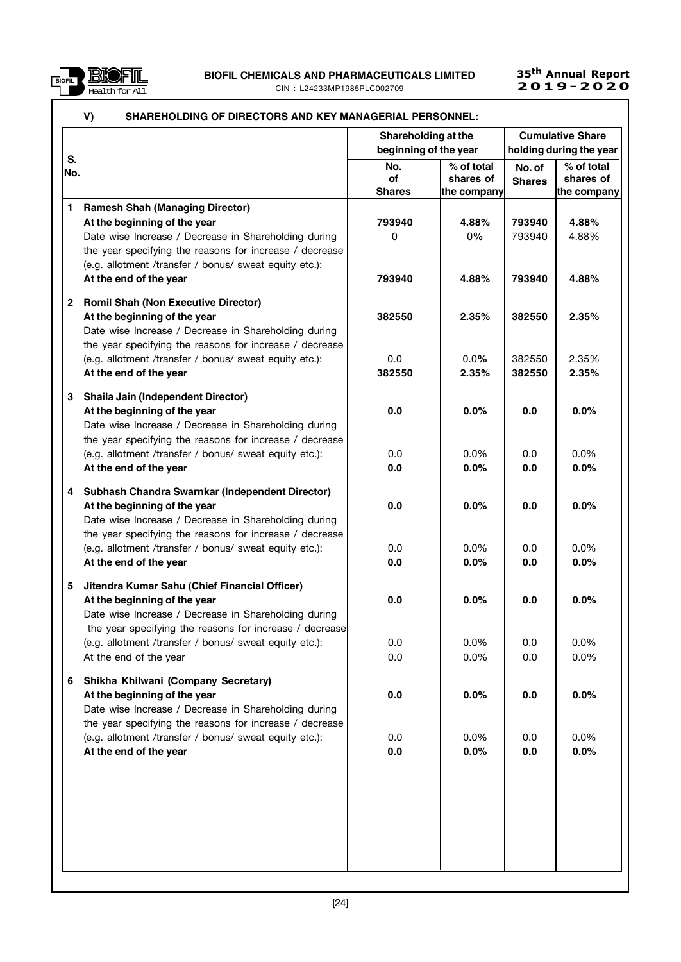

UNICO PILO EN ENGLIS AND PHARMACEUTICALS LIMITED 25<sup>th</sup> Annual Report<br>DIELE CIN∶I 24233MP1985PLC002709 2**019-2020** CIN : L24233MP1985PLC002709

# 35<sup>th</sup> Annual Report<br>**2019-2020**

|              | V)<br>SHAREHOLDING OF DIRECTORS AND KEY MANAGERIAL PERSONNEL: |                            |                                        |                         |                                        |
|--------------|---------------------------------------------------------------|----------------------------|----------------------------------------|-------------------------|----------------------------------------|
|              |                                                               | Shareholding at the        |                                        |                         | <b>Cumulative Share</b>                |
| S.           |                                                               | beginning of the year      |                                        |                         | holding during the year                |
| No.          |                                                               | No.<br>of<br><b>Shares</b> | % of total<br>shares of<br>the company | No. of<br><b>Shares</b> | % of total<br>shares of<br>the company |
| $\mathbf{1}$ | <b>Ramesh Shah (Managing Director)</b>                        |                            |                                        |                         |                                        |
|              | At the beginning of the year                                  | 793940                     | 4.88%                                  | 793940                  | 4.88%                                  |
|              | Date wise Increase / Decrease in Shareholding during          | 0                          | 0%                                     | 793940                  | 4.88%                                  |
|              | the year specifying the reasons for increase / decrease       |                            |                                        |                         |                                        |
|              | (e.g. allotment /transfer / bonus/ sweat equity etc.):        |                            |                                        |                         |                                        |
|              | At the end of the year                                        | 793940                     | 4.88%                                  | 793940                  | 4.88%                                  |
| $\mathbf{2}$ | <b>Romil Shah (Non Executive Director)</b>                    |                            |                                        |                         |                                        |
|              | At the beginning of the year                                  | 382550                     | 2.35%                                  | 382550                  | 2.35%                                  |
|              | Date wise Increase / Decrease in Shareholding during          |                            |                                        |                         |                                        |
|              | the year specifying the reasons for increase / decrease       |                            |                                        |                         |                                        |
|              | (e.g. allotment /transfer / bonus/ sweat equity etc.):        | 0.0                        | $0.0\%$                                | 382550                  | 2.35%                                  |
|              | At the end of the year                                        | 382550                     | 2.35%                                  | 382550                  | 2.35%                                  |
| 3            | Shaila Jain (Independent Director)                            |                            |                                        |                         |                                        |
|              | At the beginning of the year                                  | 0.0                        | 0.0%                                   | 0.0                     | 0.0%                                   |
|              | Date wise Increase / Decrease in Shareholding during          |                            |                                        |                         |                                        |
|              | the year specifying the reasons for increase / decrease       |                            |                                        |                         |                                        |
|              | (e.g. allotment /transfer / bonus/ sweat equity etc.):        | 0.0                        | 0.0%                                   | 0.0                     | 0.0%                                   |
|              | At the end of the year                                        | 0.0                        | 0.0%                                   | 0.0                     | 0.0%                                   |
| 4            | Subhash Chandra Swarnkar (Independent Director)               |                            |                                        |                         |                                        |
|              | At the beginning of the year                                  | 0.0                        | 0.0%                                   | 0.0                     | 0.0%                                   |
|              | Date wise Increase / Decrease in Shareholding during          |                            |                                        |                         |                                        |
|              | the year specifying the reasons for increase / decrease       |                            |                                        |                         |                                        |
|              | (e.g. allotment /transfer / bonus/ sweat equity etc.):        | 0.0                        | 0.0%                                   | 0.0                     | $0.0\%$                                |
|              | At the end of the year                                        | 0.0                        | 0.0%                                   | 0.0                     | 0.0%                                   |
| 5            | Jitendra Kumar Sahu (Chief Financial Officer)                 |                            |                                        |                         |                                        |
|              | At the beginning of the year                                  | 0.0                        | 0.0%                                   | 0.0                     | 0.0%                                   |
|              | Date wise Increase / Decrease in Shareholding during          |                            |                                        |                         |                                        |
|              | the year specifying the reasons for increase / decrease       |                            |                                        |                         |                                        |
|              | (e.g. allotment /transfer / bonus/ sweat equity etc.):        | 0.0                        | 0.0%                                   | 0.0                     | 0.0%                                   |
|              | At the end of the year                                        | 0.0                        | 0.0%                                   | 0.0                     | 0.0%                                   |
| 6            | Shikha Khilwani (Company Secretary)                           |                            |                                        |                         |                                        |
|              | At the beginning of the year                                  | 0.0                        | $0.0\%$                                | 0.0                     | 0.0%                                   |
|              | Date wise Increase / Decrease in Shareholding during          |                            |                                        |                         |                                        |
|              | the year specifying the reasons for increase / decrease       |                            |                                        |                         |                                        |
|              | (e.g. allotment /transfer / bonus/ sweat equity etc.):        | 0.0                        | 0.0%                                   | 0.0                     | 0.0%                                   |
|              | At the end of the year                                        | 0.0                        | 0.0%                                   | 0.0                     | 0.0%                                   |
|              |                                                               |                            |                                        |                         |                                        |
|              |                                                               |                            |                                        |                         |                                        |
|              |                                                               |                            |                                        |                         |                                        |
|              |                                                               |                            |                                        |                         |                                        |
|              |                                                               |                            |                                        |                         |                                        |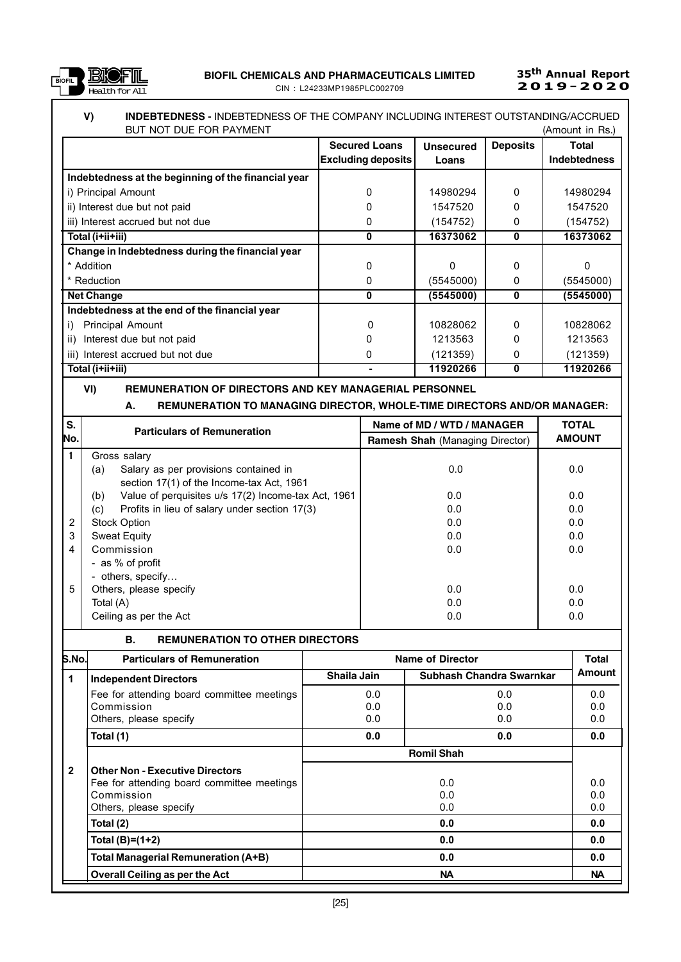

## V) INDEBTEDNESS - INDEBTEDNESS OF THE COMPANY INCLUDING INTEREST OUTSTANDING/ACCRUED BUT NOT DUE FOR PAYMENT (Amount in Rs.)

| DUI NUI DUL I UN I AIMENI                           |                           |                  |                 | ו. בוויווי וווויוראן |
|-----------------------------------------------------|---------------------------|------------------|-----------------|----------------------|
|                                                     | <b>Secured Loans</b>      | <b>Unsecured</b> | <b>Deposits</b> | Total                |
|                                                     | <b>Excluding deposits</b> | Loans            |                 | <b>Indebtedness</b>  |
| Indebtedness at the beginning of the financial year |                           |                  |                 |                      |
| i) Principal Amount                                 | 0                         | 14980294         | $\Omega$        | 14980294             |
| ii) Interest due but not paid                       |                           | 1547520          | O               | 1547520              |
| iii) Interest accrued but not due                   |                           | (154752)         | 0               | (154752)             |
| Total (i+ii+iii)                                    | 0                         | 16373062         | 0               | 16373062             |
| Change in Indebtedness during the financial year    |                           |                  |                 |                      |
| * Addition                                          | ŋ                         | O                | O               |                      |
| * Reduction                                         | 0                         | (5545000)        | 0               | (5545000)            |
| <b>Net Change</b>                                   | 0                         | (5545000)        | 0               | (5545000)            |
| Indebtedness at the end of the financial year       |                           |                  |                 |                      |
| Principal Amount                                    | 0                         | 10828062         | $\Omega$        | 10828062             |
| Interest due but not paid<br>ii)                    |                           | 1213563          | 0               | 1213563              |
| iii) Interest accrued but not due                   | 0                         | (121359)         | 0               | (121359)             |
| Total (i+ii+iii)                                    |                           | 11920266         | 0               | 11920266             |

### VI) REMUNERATION OF DIRECTORS AND KEY MANAGERIAL PERSONNEL

## A. REMUNERATION TO MANAGING DIRECTOR, WHOLE-TIME DIRECTORS AND/OR MANAGER:

| <b>AMOUNT</b> |
|---------------|
|               |
|               |
| 0.0           |
|               |
| 0.0           |
| 0.0           |
| 0.0           |
| 0.0           |
| 0.0           |
|               |
|               |
| 0.0           |
| 0.0           |
| 0.0           |
|               |

#### B. REMUNERATION TO OTHER DIRECTORS

| S.No.          | <b>Particulars of Remuneration</b>         |             | Name of Director         | <b>Total</b> |
|----------------|--------------------------------------------|-------------|--------------------------|--------------|
| $\mathbf 1$    | <b>Independent Directors</b>               | Shaila Jain | Subhash Chandra Swarnkar | Amount       |
|                | Fee for attending board committee meetings | 0.0         | 0.0                      | 0.0          |
|                | Commission                                 | 0.0         | 0.0                      | 0.0          |
|                | Others, please specify                     | 0.0         | 0.0                      | 0.0          |
|                | Total (1)                                  | 0.0         | 0.0                      | 0.0          |
|                |                                            |             | <b>Romil Shah</b>        |              |
| $\overline{2}$ | <b>Other Non - Executive Directors</b>     |             |                          |              |
|                | Fee for attending board committee meetings |             | 0.0                      | 0.0          |
|                | Commission                                 |             | 0.0                      | 0.0          |
|                | Others, please specify                     |             | 0.0                      | 0.0          |
|                | Total (2)                                  |             | 0.0                      | 0.0          |
|                | Total $(B)=(1+2)$                          |             | 0.0                      | 0.0          |
|                | Total Managerial Remuneration (A+B)        |             | 0.0                      | 0.0          |
|                | <b>Overall Ceiling as per the Act</b>      |             | <b>NA</b>                | <b>NA</b>    |